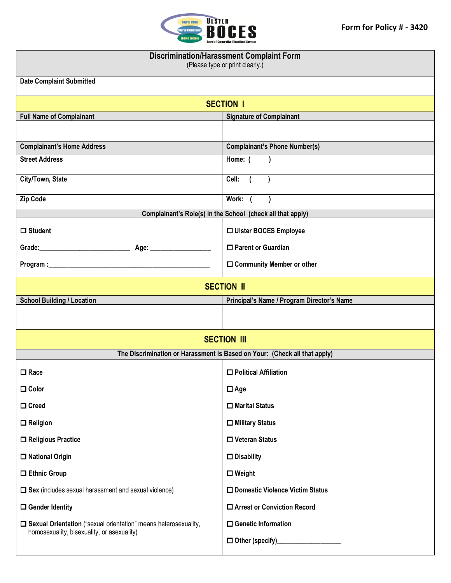

## **Discrimination/Harassment Complaint Form**

(Please type or print clearly.)

| <b>Date Complaint Submitted</b>                                                                                         |                                            |  |
|-------------------------------------------------------------------------------------------------------------------------|--------------------------------------------|--|
| <b>SECTION I</b>                                                                                                        |                                            |  |
| <b>Full Name of Complainant</b>                                                                                         | <b>Signature of Complainant</b>            |  |
|                                                                                                                         |                                            |  |
| <b>Complainant's Home Address</b>                                                                                       | <b>Complainant's Phone Number(s)</b>       |  |
| <b>Street Address</b>                                                                                                   | Home: (                                    |  |
| City/Town, State                                                                                                        | Cell:                                      |  |
| Zip Code                                                                                                                | Work: (<br>$\lambda$                       |  |
| Complainant's Role(s) in the School (check all that apply)                                                              |                                            |  |
| $\Box$ Student                                                                                                          | □ Ulster BOCES Employee                    |  |
|                                                                                                                         | □ Parent or Guardian                       |  |
|                                                                                                                         | $\Box$ Community Member or other           |  |
| <b>SECTION II</b>                                                                                                       |                                            |  |
| <b>School Building / Location</b>                                                                                       | Principal's Name / Program Director's Name |  |
|                                                                                                                         |                                            |  |
| <b>SECTION III</b>                                                                                                      |                                            |  |
| The Discrimination or Harassment is Based on Your: (Check all that apply)                                               |                                            |  |
| $\Box$ Race                                                                                                             | $\Box$ Political Affiliation               |  |
| $\Box$ Color                                                                                                            | $\Box$ Age                                 |  |
| $\Box$ Creed                                                                                                            | $\Box$ Marital Status                      |  |
| $\Box$ Religion                                                                                                         | $\Box$ Military Status                     |  |
| $\Box$ Religious Practice                                                                                               | $\Box$ Veteran Status                      |  |
| $\square$ National Origin                                                                                               | $\square$ Disability                       |  |
| $\square$ Ethnic Group                                                                                                  | $\Box$ Weight                              |  |
| $\square$ Sex (includes sexual harassment and sexual violence)                                                          | □ Domestic Violence Victim Status          |  |
| $\Box$ Gender Identity                                                                                                  | □ Arrest or Conviction Record              |  |
| $\square$ Sexual Orientation ("sexual orientation" means heterosexuality,<br>homosexuality, bisexuality, or asexuality) | $\Box$ Genetic Information                 |  |
|                                                                                                                         | $\Box$ Other (specify)                     |  |